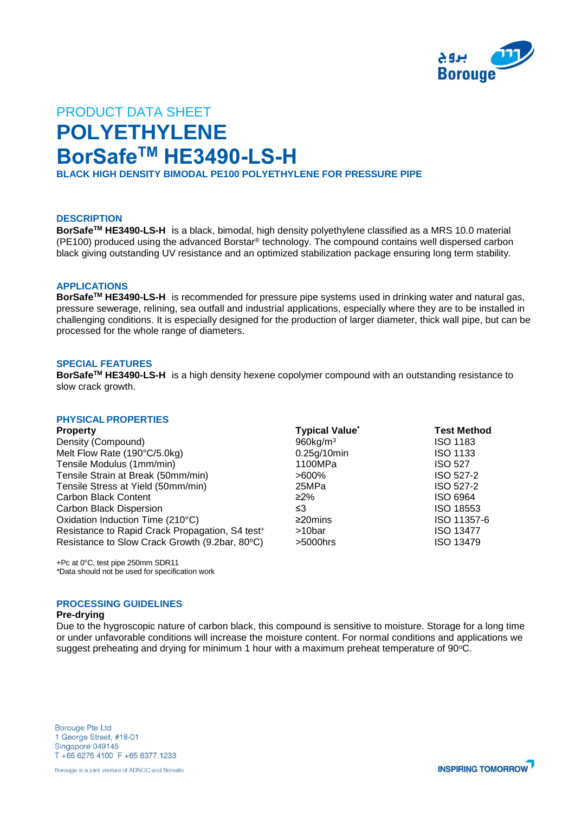

# PRODUCT DATA SHEET **POLYETHYLENE BorSafeTM HE3490-LS-H**

**BLACK HIGH DENSITY BIMODAL PE100 POLYETHYLENE FOR PRESSURE PIPE**

# **DESCRIPTION**

**BorSafeTM HE3490-LS-H** is a black, bimodal, high density polyethylene classified as a MRS 10.0 material (PE100) produced using the advanced Borstar® technology. The compound contains well dispersed carbon black giving outstanding UV resistance and an optimized stabilization package ensuring long term stability.

#### **APPLICATIONS**

**BorSafeTM HE3490-LS-H** is recommended for pressure pipe systems used in drinking water and natural gas, pressure sewerage, relining, sea outfall and industrial applications, especially where they are to be installed in challenging conditions. It is especially designed for the production of larger diameter, thick wall pipe, but can be processed for the whole range of diameters.

### **SPECIAL FEATURES**

**BorSafeTM HE3490-LS-H** is a high density hexene copolymer compound with an outstanding resistance to slow crack growth.

### **PHYSICAL PROPERTIES**

| <b>Property</b>                                             | <b>Typical Value</b> *  | <b>Test Method</b> |
|-------------------------------------------------------------|-------------------------|--------------------|
| Density (Compound)                                          | $960$ kg/m <sup>3</sup> | <b>ISO 1183</b>    |
| Melt Flow Rate (190°C/5.0kg)                                | 0.25g/10min             | <b>ISO 1133</b>    |
| Tensile Modulus (1mm/min)                                   | 1100MPa                 | <b>ISO 527</b>     |
| Tensile Strain at Break (50mm/min)                          | >600%                   | ISO 527-2          |
| Tensile Stress at Yield (50mm/min)                          | 25MPa                   | ISO 527-2          |
| <b>Carbon Black Content</b>                                 | $\geq$ 2%               | ISO 6964           |
| <b>Carbon Black Dispersion</b>                              | ≤3                      | ISO 18553          |
| Oxidation Induction Time (210°C)                            | $\geq$ 20mins           | ISO 11357-6        |
| Resistance to Rapid Crack Propagation, S4 test <sup>+</sup> | >10bar                  | <b>ISO 13477</b>   |
| Resistance to Slow Crack Growth (9.2bar, 80°C)              | $>5000$ hrs             | <b>ISO 13479</b>   |

+Pc at 0°C, test pipe 250mm SDR11 *\**Data should not be used for specification work

# **PROCESSING GUIDELINES**

#### **Pre-drying**

Due to the hygroscopic nature of carbon black, this compound is sensitive to moisture. Storage for a long time or under unfavorable conditions will increase the moisture content. For normal conditions and applications we suggest preheating and drying for minimum 1 hour with a maximum preheat temperature of  $90^{\circ}$ C.

**Borouge Pte Ltd** 1 George Street, #18-01 Singapore 049145 T +65 6275 4100 F +65 6377 1233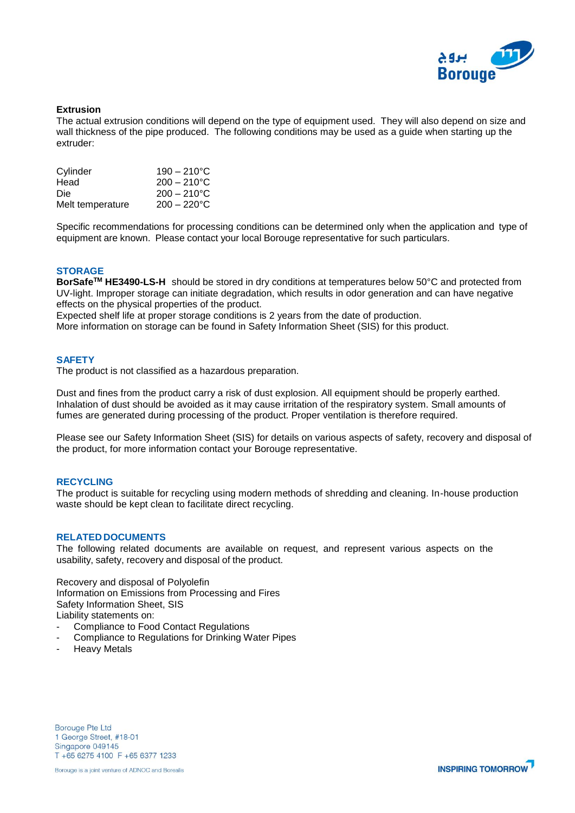

# **Extrusion**

The actual extrusion conditions will depend on the type of equipment used. They will also depend on size and wall thickness of the pipe produced. The following conditions may be used as a guide when starting up the extruder:

| Cylinder         | $190 - 210^{\circ}$ C |
|------------------|-----------------------|
| Head             | $200 - 210^{\circ}$ C |
| Die              | $200 - 210^{\circ}$ C |
| Melt temperature | $200 - 220$ °C        |

Specific recommendations for processing conditions can be determined only when the application and type of equipment are known. Please contact your local Borouge representative for such particulars.

# **STORAGE**

**BorSafeTM HE3490-LS-H** should be stored in dry conditions at temperatures below 50°C and protected from UV-light. Improper storage can initiate degradation, which results in odor generation and can have negative effects on the physical properties of the product.

Expected shelf life at proper storage conditions is 2 years from the date of production.

More information on storage can be found in Safety Information Sheet (SIS) for this product.

#### **SAFETY**

The product is not classified as a hazardous preparation.

Dust and fines from the product carry a risk of dust explosion. All equipment should be properly earthed. Inhalation of dust should be avoided as it may cause irritation of the respiratory system. Small amounts of fumes are generated during processing of the product. Proper ventilation is therefore required.

Please see our Safety Information Sheet (SIS) for details on various aspects of safety, recovery and disposal of the product, for more information contact your Borouge representative.

# **RECYCLING**

The product is suitable for recycling using modern methods of shredding and cleaning. In-house production waste should be kept clean to facilitate direct recycling.

#### **RELATED DOCUMENTS**

The following related documents are available on request, and represent various aspects on the usability, safety, recovery and disposal of the product.

Recovery and disposal of Polyolefin Information on Emissions from Processing and Fires Safety Information Sheet, SIS Liability statements on:

- Compliance to Food Contact Regulations
- Compliance to Regulations for Drinking Water Pipes
- Heavy Metals